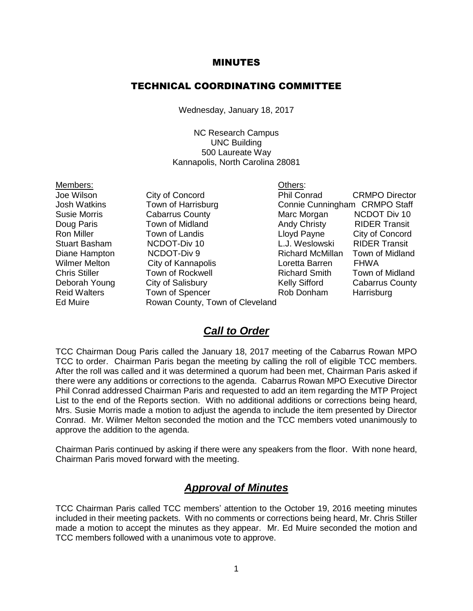#### MINUTES

#### TECHNICAL COORDINATING COMMITTEE

Wednesday, January 18, 2017

NC Research Campus UNC Building 500 Laureate Way Kannapolis, North Carolina 28081

Members: Others:

Wilmer Melton City of Kannapolis **Loretta Barren** FHWA Ed Muire **Rowan County, Town of Cleveland** 

Joe Wilson City of Concord Phil Conrad CRMPO Director Josh Watkins Town of Harrisburg Connie Cunningham CRMPO Staff Susie Morris **Cabarrus County Marc Morgan NCDOT Div 10** Doug Paris **Town of Midland Andy Christy** RIDER Transit Ron Miller Town of Landis Lloyd Payne City of Concord Stuart Basham MCDOT-Div 10 L.J. Weslowski RIDER Transit Diane Hampton **NCDOT-Div 9** Richard McMillan Town of Midland Chris Stiller **Town of Rockwell** Richard Smith Town of Midland Deborah Young City of Salisbury County Kelly Sifford Cabarrus County Reid Walters Town of Spencer Rob Donham Harrisburg

#### *Call to Order*

TCC Chairman Doug Paris called the January 18, 2017 meeting of the Cabarrus Rowan MPO TCC to order. Chairman Paris began the meeting by calling the roll of eligible TCC members. After the roll was called and it was determined a quorum had been met, Chairman Paris asked if there were any additions or corrections to the agenda. Cabarrus Rowan MPO Executive Director Phil Conrad addressed Chairman Paris and requested to add an item regarding the MTP Project List to the end of the Reports section. With no additional additions or corrections being heard, Mrs. Susie Morris made a motion to adjust the agenda to include the item presented by Director Conrad. Mr. Wilmer Melton seconded the motion and the TCC members voted unanimously to approve the addition to the agenda.

Chairman Paris continued by asking if there were any speakers from the floor. With none heard, Chairman Paris moved forward with the meeting.

#### *Approval of Minutes*

TCC Chairman Paris called TCC members' attention to the October 19, 2016 meeting minutes included in their meeting packets. With no comments or corrections being heard, Mr. Chris Stiller made a motion to accept the minutes as they appear. Mr. Ed Muire seconded the motion and TCC members followed with a unanimous vote to approve.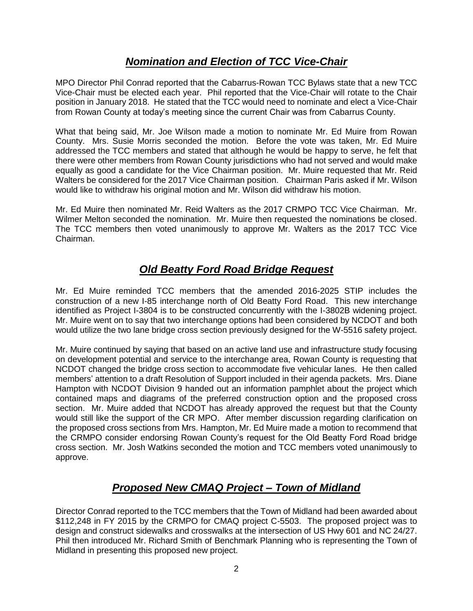### *Nomination and Election of TCC Vice-Chair*

MPO Director Phil Conrad reported that the Cabarrus-Rowan TCC Bylaws state that a new TCC Vice-Chair must be elected each year. Phil reported that the Vice-Chair will rotate to the Chair position in January 2018. He stated that the TCC would need to nominate and elect a Vice-Chair from Rowan County at today's meeting since the current Chair was from Cabarrus County.

What that being said, Mr. Joe Wilson made a motion to nominate Mr. Ed Muire from Rowan County. Mrs. Susie Morris seconded the motion. Before the vote was taken, Mr. Ed Muire addressed the TCC members and stated that although he would be happy to serve, he felt that there were other members from Rowan County jurisdictions who had not served and would make equally as good a candidate for the Vice Chairman position. Mr. Muire requested that Mr. Reid Walters be considered for the 2017 Vice Chairman position. Chairman Paris asked if Mr. Wilson would like to withdraw his original motion and Mr. Wilson did withdraw his motion.

Mr. Ed Muire then nominated Mr. Reid Walters as the 2017 CRMPO TCC Vice Chairman. Mr. Wilmer Melton seconded the nomination. Mr. Muire then requested the nominations be closed. The TCC members then voted unanimously to approve Mr. Walters as the 2017 TCC Vice Chairman.

# *Old Beatty Ford Road Bridge Request*

Mr. Ed Muire reminded TCC members that the amended 2016-2025 STIP includes the construction of a new I-85 interchange north of Old Beatty Ford Road. This new interchange identified as Project I-3804 is to be constructed concurrently with the I-3802B widening project. Mr. Muire went on to say that two interchange options had been considered by NCDOT and both would utilize the two lane bridge cross section previously designed for the W-5516 safety project.

Mr. Muire continued by saying that based on an active land use and infrastructure study focusing on development potential and service to the interchange area, Rowan County is requesting that NCDOT changed the bridge cross section to accommodate five vehicular lanes. He then called members' attention to a draft Resolution of Support included in their agenda packets. Mrs. Diane Hampton with NCDOT Division 9 handed out an information pamphlet about the project which contained maps and diagrams of the preferred construction option and the proposed cross section. Mr. Muire added that NCDOT has already approved the request but that the County would still like the support of the CR MPO. After member discussion regarding clarification on the proposed cross sections from Mrs. Hampton, Mr. Ed Muire made a motion to recommend that the CRMPO consider endorsing Rowan County's request for the Old Beatty Ford Road bridge cross section. Mr. Josh Watkins seconded the motion and TCC members voted unanimously to approve.

# *Proposed New CMAQ Project – Town of Midland*

Director Conrad reported to the TCC members that the Town of Midland had been awarded about \$112,248 in FY 2015 by the CRMPO for CMAQ project C-5503. The proposed project was to design and construct sidewalks and crosswalks at the intersection of US Hwy 601 and NC 24/27. Phil then introduced Mr. Richard Smith of Benchmark Planning who is representing the Town of Midland in presenting this proposed new project.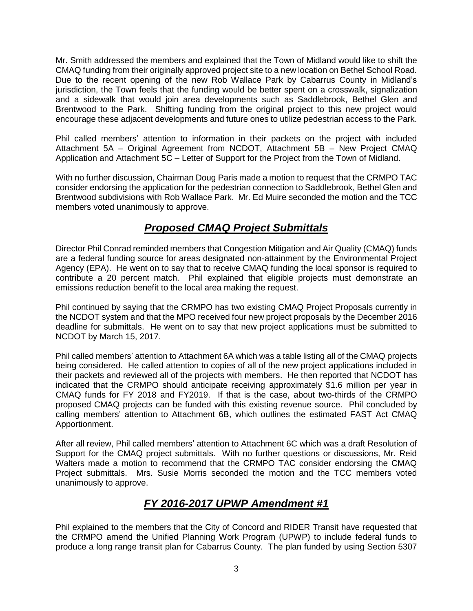Mr. Smith addressed the members and explained that the Town of Midland would like to shift the CMAQ funding from their originally approved project site to a new location on Bethel School Road. Due to the recent opening of the new Rob Wallace Park by Cabarrus County in Midland's jurisdiction, the Town feels that the funding would be better spent on a crosswalk, signalization and a sidewalk that would join area developments such as Saddlebrook, Bethel Glen and Brentwood to the Park. Shifting funding from the original project to this new project would encourage these adjacent developments and future ones to utilize pedestrian access to the Park.

Phil called members' attention to information in their packets on the project with included Attachment 5A – Original Agreement from NCDOT, Attachment 5B – New Project CMAQ Application and Attachment 5C – Letter of Support for the Project from the Town of Midland.

With no further discussion, Chairman Doug Paris made a motion to request that the CRMPO TAC consider endorsing the application for the pedestrian connection to Saddlebrook, Bethel Glen and Brentwood subdivisions with Rob Wallace Park. Mr. Ed Muire seconded the motion and the TCC members voted unanimously to approve.

# *Proposed CMAQ Project Submittals*

Director Phil Conrad reminded members that Congestion Mitigation and Air Quality (CMAQ) funds are a federal funding source for areas designated non-attainment by the Environmental Project Agency (EPA). He went on to say that to receive CMAQ funding the local sponsor is required to contribute a 20 percent match. Phil explained that eligible projects must demonstrate an emissions reduction benefit to the local area making the request.

Phil continued by saying that the CRMPO has two existing CMAQ Project Proposals currently in the NCDOT system and that the MPO received four new project proposals by the December 2016 deadline for submittals. He went on to say that new project applications must be submitted to NCDOT by March 15, 2017.

Phil called members' attention to Attachment 6A which was a table listing all of the CMAQ projects being considered. He called attention to copies of all of the new project applications included in their packets and reviewed all of the projects with members. He then reported that NCDOT has indicated that the CRMPO should anticipate receiving approximately \$1.6 million per year in CMAQ funds for FY 2018 and FY2019. If that is the case, about two-thirds of the CRMPO proposed CMAQ projects can be funded with this existing revenue source. Phil concluded by calling members' attention to Attachment 6B, which outlines the estimated FAST Act CMAQ Apportionment.

After all review, Phil called members' attention to Attachment 6C which was a draft Resolution of Support for the CMAQ project submittals. With no further questions or discussions, Mr. Reid Walters made a motion to recommend that the CRMPO TAC consider endorsing the CMAQ Project submittals. Mrs. Susie Morris seconded the motion and the TCC members voted unanimously to approve.

# *FY 2016-2017 UPWP Amendment #1*

Phil explained to the members that the City of Concord and RIDER Transit have requested that the CRMPO amend the Unified Planning Work Program (UPWP) to include federal funds to produce a long range transit plan for Cabarrus County. The plan funded by using Section 5307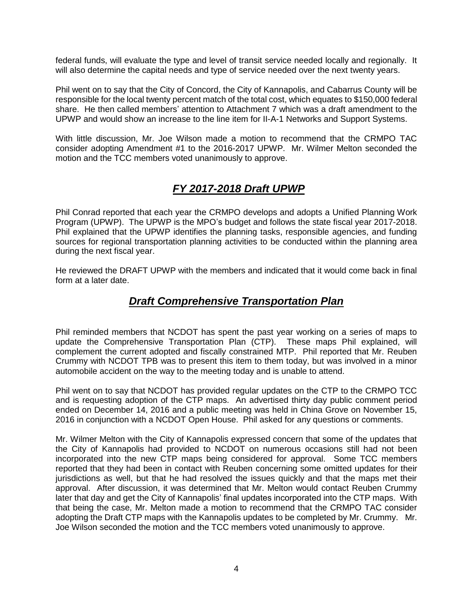federal funds, will evaluate the type and level of transit service needed locally and regionally. It will also determine the capital needs and type of service needed over the next twenty years.

Phil went on to say that the City of Concord, the City of Kannapolis, and Cabarrus County will be responsible for the local twenty percent match of the total cost, which equates to \$150,000 federal share. He then called members' attention to Attachment 7 which was a draft amendment to the UPWP and would show an increase to the line item for II-A-1 Networks and Support Systems.

With little discussion, Mr. Joe Wilson made a motion to recommend that the CRMPO TAC consider adopting Amendment #1 to the 2016-2017 UPWP. Mr. Wilmer Melton seconded the motion and the TCC members voted unanimously to approve.

### *FY 2017-2018 Draft UPWP*

Phil Conrad reported that each year the CRMPO develops and adopts a Unified Planning Work Program (UPWP). The UPWP is the MPO's budget and follows the state fiscal year 2017-2018. Phil explained that the UPWP identifies the planning tasks, responsible agencies, and funding sources for regional transportation planning activities to be conducted within the planning area during the next fiscal year.

He reviewed the DRAFT UPWP with the members and indicated that it would come back in final form at a later date.

#### *Draft Comprehensive Transportation Plan*

Phil reminded members that NCDOT has spent the past year working on a series of maps to update the Comprehensive Transportation Plan (CTP). These maps Phil explained, will complement the current adopted and fiscally constrained MTP. Phil reported that Mr. Reuben Crummy with NCDOT TPB was to present this item to them today, but was involved in a minor automobile accident on the way to the meeting today and is unable to attend.

Phil went on to say that NCDOT has provided regular updates on the CTP to the CRMPO TCC and is requesting adoption of the CTP maps. An advertised thirty day public comment period ended on December 14, 2016 and a public meeting was held in China Grove on November 15, 2016 in conjunction with a NCDOT Open House. Phil asked for any questions or comments.

Mr. Wilmer Melton with the City of Kannapolis expressed concern that some of the updates that the City of Kannapolis had provided to NCDOT on numerous occasions still had not been incorporated into the new CTP maps being considered for approval. Some TCC members reported that they had been in contact with Reuben concerning some omitted updates for their jurisdictions as well, but that he had resolved the issues quickly and that the maps met their approval. After discussion, it was determined that Mr. Melton would contact Reuben Crummy later that day and get the City of Kannapolis' final updates incorporated into the CTP maps. With that being the case, Mr. Melton made a motion to recommend that the CRMPO TAC consider adopting the Draft CTP maps with the Kannapolis updates to be completed by Mr. Crummy. Mr. Joe Wilson seconded the motion and the TCC members voted unanimously to approve.